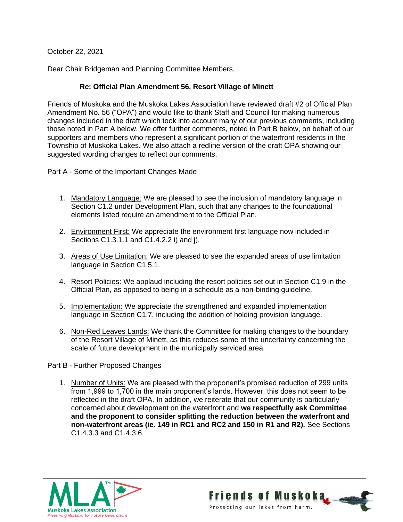October 22, 2021

Dear Chair Bridgeman and Planning Committee Members,

## **Re: Official Plan Amendment 56, Resort Village of Minett**

Friends of Muskoka and the Muskoka Lakes Association have reviewed draft #2 of Official Plan Amendment No. 56 ("OPA") and would like to thank Staff and Council for making numerous changes included in the draft which took into account many of our previous comments, including those noted in Part A below. We offer further comments, noted in Part B below, on behalf of our supporters and members who represent a significant portion of the waterfront residents in the Township of Muskoka Lakes. We also attach a redline version of the draft OPA showing our suggested wording changes to reflect our comments.

Part A - Some of the Important Changes Made

- 1. Mandatory Language: We are pleased to see the inclusion of mandatory language in Section C1.2 under Development Plan, such that any changes to the foundational elements listed require an amendment to the Official Plan.
- 2. Environment First: We appreciate the environment first language now included in Sections C1.3.1.1 and C1.4.2.2 i) and j).
- 3. Areas of Use Limitation: We are pleased to see the expanded areas of use limitation language in Section C1.5.1.
- 4. Resort Policies: We applaud including the resort policies set out in Section C1.9 in the Official Plan, as opposed to being in a schedule as a non-binding guideline.
- 5. Implementation: We appreciate the strengthened and expanded implementation language in Section C1.7, including the addition of holding provision language.
- 6. Non-Red Leaves Lands: We thank the Committee for making changes to the boundary of the Resort Village of Minett, as this reduces some of the uncertainty concerning the scale of future development in the municipally serviced area.

Part B - Further Proposed Changes

1. Number of Units: We are pleased with the proponent's promised reduction of 299 units from 1,999 to 1,700 in the main proponent's lands. However, this does not seem to be reflected in the draft OPA. In addition, we reiterate that our community is particularly concerned about development on the waterfront and **we respectfully ask Committee and the proponent to consider splitting the reduction between the waterfront and non-waterfront areas (ie. 149 in RC1 and RC2 and 150 in R1 and R2).** See Sections C1.4.3.3 and C1.4.3.6.



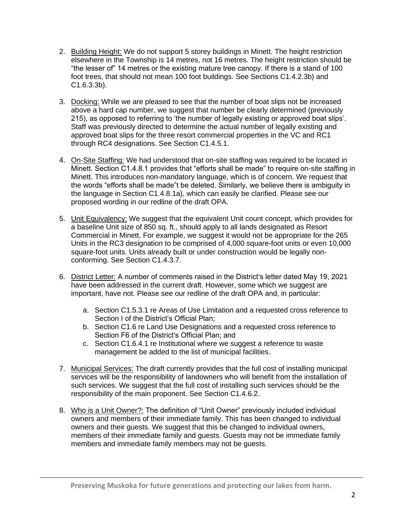- 2. Building Height: We do not support 5 storey buildings in Minett. The height restriction elsewhere in the Township is 14 metres, not 16 metres. The height restriction should be "the lesser of" 14 metres or the existing mature tree canopy. If there is a stand of 100 foot trees, that should not mean 100 foot buildings. See Sections C1.4.2.3b) and C1.6.3.3b).
- 3. Docking: While we are pleased to see that the number of boat slips not be increased above a hard cap number, we suggest that number be clearly determined (previously 215), as opposed to referring to 'the number of legally existing or approved boat slips'. Staff was previously directed to determine the actual number of legally existing and approved boat slips for the three resort commercial properties in the VC and RC1 through RC4 designations. See Section C1.4.5.1.
- 4. On-Site Staffing: We had understood that on-site staffing was required to be located in Minett. Section C1.4.8.1 provides that "efforts shall be made" to require on-site staffing in Minett. This introduces non-mandatory language, which is of concern. We request that the words "efforts shall be made"t be deleted. Similarly, we believe there is ambiguity in the language in Section C1.4.8.1a), which can easily be clarified. Please see our proposed wording in our redline of the draft OPA.
- 5. Unit Equivalency: We suggest that the equivalent Unit count concept, which provides for a baseline Unit size of 850 sq. ft., should apply to all lands designated as Resort Commercial in Minett. For example, we suggest it would not be appropriate for the 265 Units in the RC3 designation to be comprised of 4,000 square-foot units or even 10,000 square-foot units. Units already built or under construction would be legally nonconforming. See Section C1.4.3.7.
- 6. District Letter: A number of comments raised in the District's letter dated May 19, 2021 have been addressed in the current draft. However, some which we suggest are important, have not. Please see our redline of the draft OPA and, in particular:
	- a. Section C1.5.3.1 re Areas of Use Limitation and a requested cross reference to Section I of the District's Official Plan;
	- b. Section C1.6 re Land Use Designations and a requested cross reference to Section F6 of the District's Official Plan; and
	- c. Section C1.6.4.1 re Institutional where we suggest a reference to waste management be added to the list of municipal facilities.
- 7. Municipal Services: The draft currently provides that the full cost of installing municipal services will be the responsibility of landowners who will benefit from the installation of such services. We suggest that the full cost of installing such services should be the responsibility of the main proponent. See Section C1.4.6.2.
- 8. Who is a Unit Owner?: The definition of "Unit Owner" previously included individual owners and members of their immediate family. This has been changed to individual owners and their guests. We suggest that this be changed to individual owners, members of their immediate family and guests. Guests may not be immediate family members and immediate family members may not be guests.